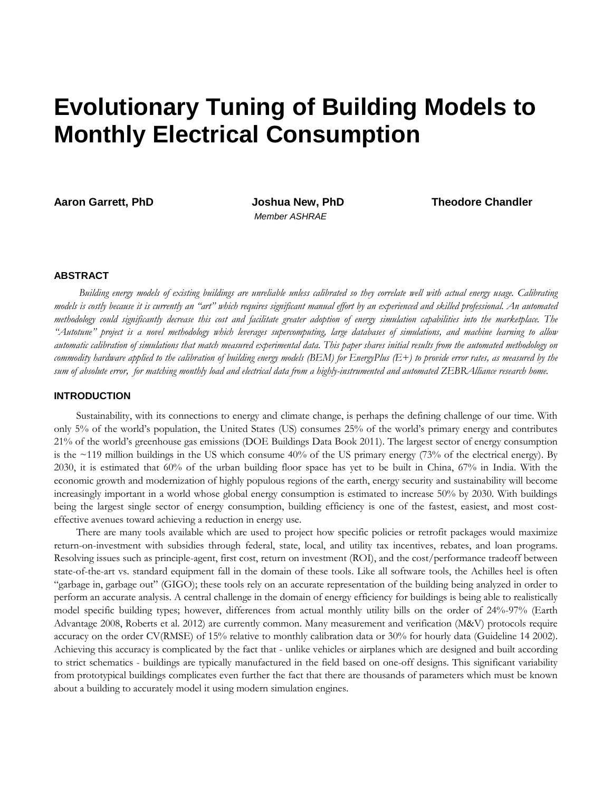# **Evolutionary Tuning of Building Models to Monthly Electrical Consumption**

*Member ASHRAE*

**Aaron Garrett, PhD Joshua New, PhD Theodore Chandler**

# **ABSTRACT**

*Building energy models of existing buildings are unreliable unless calibrated so they correlate well with actual energy usage. Calibrating models is costly because it is currently an "art" which requires significant manual effort by an experienced and skilled professional. An automated methodology could significantly decrease this cost and facilitate greater adoption of energy simulation capabilities into the marketplace. The "Autotune" project is a novel methodology which leverages supercomputing, large databases of simulations, and machine learning to allow automatic calibration of simulations that match measured experimental data. This paper shares initial results from the automated methodology on commodity hardware applied to the calibration of building energy models (BEM) for EnergyPlus (E+) to provide error rates, as measured by the sum of absolute error, for matching monthly load and electrical data from a highly-instrumented and automated ZEBRAlliance research home.*

# **INTRODUCTION**

Sustainability, with its connections to energy and climate change, is perhaps the defining challenge of our time. With only 5% of the world's population, the United States (US) consumes 25% of the world's primary energy and contributes 21% of the world's greenhouse gas emissions (DOE Buildings Data Book 2011). The largest sector of energy consumption is the  $\sim$ 119 million buildings in the US which consume 40% of the US primary energy (73% of the electrical energy). By 2030, it is estimated that 60% of the urban building floor space has yet to be built in China, 67% in India. With the economic growth and modernization of highly populous regions of the earth, energy security and sustainability will become increasingly important in a world whose global energy consumption is estimated to increase 50% by 2030. With buildings being the largest single sector of energy consumption, building efficiency is one of the fastest, easiest, and most costeffective avenues toward achieving a reduction in energy use.

There are many tools available which are used to project how specific policies or retrofit packages would maximize return-on-investment with subsidies through federal, state, local, and utility tax incentives, rebates, and loan programs. Resolving issues such as principle-agent, first cost, return on investment (ROI), and the cost/performance tradeoff between state-of-the-art vs. standard equipment fall in the domain of these tools. Like all software tools, the Achilles heel is often "garbage in, garbage out" (GIGO); these tools rely on an accurate representation of the building being analyzed in order to perform an accurate analysis. A central challenge in the domain of energy efficiency for buildings is being able to realistically model specific building types; however, differences from actual monthly utility bills on the order of 24%-97% (Earth Advantage 2008, Roberts et al. 2012) are currently common. Many measurement and verification (M&V) protocols require accuracy on the order CV(RMSE) of 15% relative to monthly calibration data or 30% for hourly data (Guideline 14 2002). Achieving this accuracy is complicated by the fact that - unlike vehicles or airplanes which are designed and built according to strict schematics - buildings are typically manufactured in the field based on one-off designs. This significant variability from prototypical buildings complicates even further the fact that there are thousands of parameters which must be known about a building to accurately model it using modern simulation engines.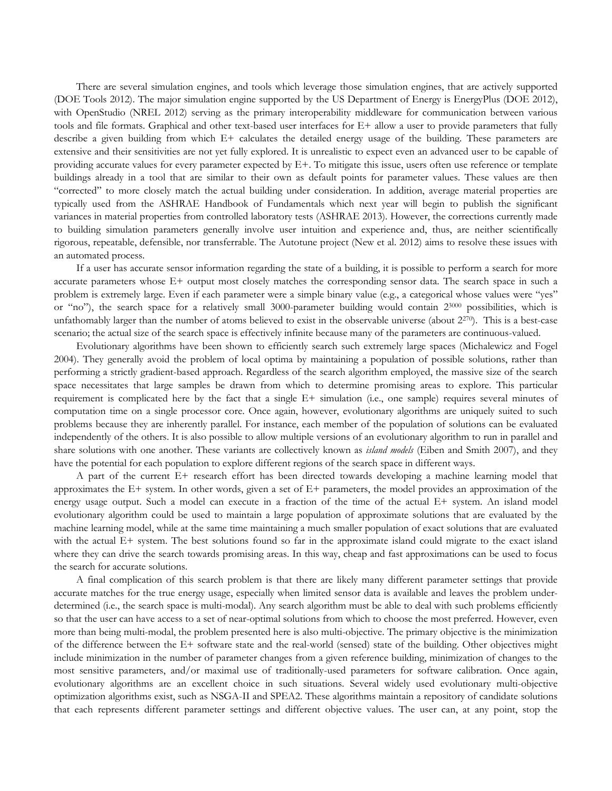There are several simulation engines, and tools which leverage those simulation engines, that are actively supported (DOE Tools 2012). The major simulation engine supported by the US Department of Energy is EnergyPlus (DOE 2012), with OpenStudio (NREL 2012) serving as the primary interoperability middleware for communication between various tools and file formats. Graphical and other text-based user interfaces for E+ allow a user to provide parameters that fully describe a given building from which E+ calculates the detailed energy usage of the building. These parameters are extensive and their sensitivities are not yet fully explored. It is unrealistic to expect even an advanced user to be capable of providing accurate values for every parameter expected by E+. To mitigate this issue, users often use reference or template buildings already in a tool that are similar to their own as default points for parameter values. These values are then "corrected" to more closely match the actual building under consideration. In addition, average material properties are typically used from the ASHRAE Handbook of Fundamentals which next year will begin to publish the significant variances in material properties from controlled laboratory tests (ASHRAE 2013). However, the corrections currently made to building simulation parameters generally involve user intuition and experience and, thus, are neither scientifically rigorous, repeatable, defensible, nor transferrable. The Autotune project (New et al. 2012) aims to resolve these issues with an automated process.

If a user has accurate sensor information regarding the state of a building, it is possible to perform a search for more accurate parameters whose E+ output most closely matches the corresponding sensor data. The search space in such a problem is extremely large. Even if each parameter were a simple binary value (e.g., a categorical whose values were "yes" or "no"), the search space for a relatively small 3000-parameter building would contain 23000 possibilities, which is unfathomably larger than the number of atoms believed to exist in the observable universe (about  $2^{270}$ ). This is a best-case scenario; the actual size of the search space is effectively infinite because many of the parameters are continuous-valued.

Evolutionary algorithms have been shown to efficiently search such extremely large spaces (Michalewicz and Fogel 2004). They generally avoid the problem of local optima by maintaining a population of possible solutions, rather than performing a strictly gradient-based approach. Regardless of the search algorithm employed, the massive size of the search space necessitates that large samples be drawn from which to determine promising areas to explore. This particular requirement is complicated here by the fact that a single E+ simulation (i.e., one sample) requires several minutes of computation time on a single processor core. Once again, however, evolutionary algorithms are uniquely suited to such problems because they are inherently parallel. For instance, each member of the population of solutions can be evaluated independently of the others. It is also possible to allow multiple versions of an evolutionary algorithm to run in parallel and share solutions with one another. These variants are collectively known as *island models* (Eiben and Smith 2007), and they have the potential for each population to explore different regions of the search space in different ways.

A part of the current E+ research effort has been directed towards developing a machine learning model that approximates the E+ system. In other words, given a set of E+ parameters, the model provides an approximation of the energy usage output. Such a model can execute in a fraction of the time of the actual E+ system. An island model evolutionary algorithm could be used to maintain a large population of approximate solutions that are evaluated by the machine learning model, while at the same time maintaining a much smaller population of exact solutions that are evaluated with the actual E+ system. The best solutions found so far in the approximate island could migrate to the exact island where they can drive the search towards promising areas. In this way, cheap and fast approximations can be used to focus the search for accurate solutions.

A final complication of this search problem is that there are likely many different parameter settings that provide accurate matches for the true energy usage, especially when limited sensor data is available and leaves the problem underdetermined (i.e., the search space is multi-modal). Any search algorithm must be able to deal with such problems efficiently so that the user can have access to a set of near-optimal solutions from which to choose the most preferred. However, even more than being multi-modal, the problem presented here is also multi-objective. The primary objective is the minimization of the difference between the E+ software state and the real-world (sensed) state of the building. Other objectives might include minimization in the number of parameter changes from a given reference building, minimization of changes to the most sensitive parameters, and/or maximal use of traditionally-used parameters for software calibration. Once again, evolutionary algorithms are an excellent choice in such situations. Several widely used evolutionary multi-objective optimization algorithms exist, such as NSGA-II and SPEA2. These algorithms maintain a repository of candidate solutions that each represents different parameter settings and different objective values. The user can, at any point, stop the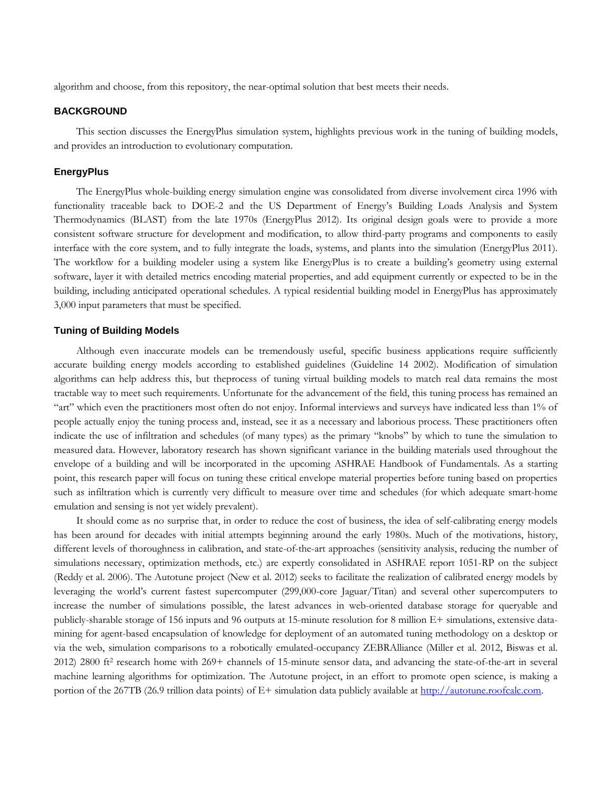algorithm and choose, from this repository, the near-optimal solution that best meets their needs.

# **BACKGROUND**

This section discusses the EnergyPlus simulation system, highlights previous work in the tuning of building models, and provides an introduction to evolutionary computation.

#### **EnergyPlus**

The EnergyPlus whole-building energy simulation engine was consolidated from diverse involvement circa 1996 with functionality traceable back to DOE-2 and the US Department of Energy's Building Loads Analysis and System Thermodynamics (BLAST) from the late 1970s (EnergyPlus 2012). Its original design goals were to provide a more consistent software structure for development and modification, to allow third-party programs and components to easily interface with the core system, and to fully integrate the loads, systems, and plants into the simulation (EnergyPlus 2011). The workflow for a building modeler using a system like EnergyPlus is to create a building's geometry using external software, layer it with detailed metrics encoding material properties, and add equipment currently or expected to be in the building, including anticipated operational schedules. A typical residential building model in EnergyPlus has approximately 3,000 input parameters that must be specified.

# **Tuning of Building Models**

Although even inaccurate models can be tremendously useful, specific business applications require sufficiently accurate building energy models according to established guidelines (Guideline 14 2002). Modification of simulation algorithms can help address this, but theprocess of tuning virtual building models to match real data remains the most tractable way to meet such requirements. Unfortunate for the advancement of the field, this tuning process has remained an "art" which even the practitioners most often do not enjoy. Informal interviews and surveys have indicated less than 1% of people actually enjoy the tuning process and, instead, see it as a necessary and laborious process. These practitioners often indicate the use of infiltration and schedules (of many types) as the primary "knobs" by which to tune the simulation to measured data. However, laboratory research has shown significant variance in the building materials used throughout the envelope of a building and will be incorporated in the upcoming ASHRAE Handbook of Fundamentals. As a starting point, this research paper will focus on tuning these critical envelope material properties before tuning based on properties such as infiltration which is currently very difficult to measure over time and schedules (for which adequate smart-home emulation and sensing is not yet widely prevalent).

It should come as no surprise that, in order to reduce the cost of business, the idea of self-calibrating energy models has been around for decades with initial attempts beginning around the early 1980s. Much of the motivations, history, different levels of thoroughness in calibration, and state-of-the-art approaches (sensitivity analysis, reducing the number of simulations necessary, optimization methods, etc.) are expertly consolidated in ASHRAE report 1051-RP on the subject (Reddy et al. 2006). The Autotune project (New et al. 2012) seeks to facilitate the realization of calibrated energy models by leveraging the world's current fastest supercomputer (299,000-core Jaguar/Titan) and several other supercomputers to increase the number of simulations possible, the latest advances in web-oriented database storage for queryable and publicly-sharable storage of 156 inputs and 96 outputs at 15-minute resolution for 8 million E+ simulations, extensive datamining for agent-based encapsulation of knowledge for deployment of an automated tuning methodology on a desktop or via the web, simulation comparisons to a robotically emulated-occupancy ZEBRAlliance (Miller et al. 2012, Biswas et al. 2012) 2800 ft2 research home with 269+ channels of 15-minute sensor data, and advancing the state-of-the-art in several machine learning algorithms for optimization. The Autotune project, in an effort to promote open science, is making a portion of the 267TB (26.9 trillion data points) of E+ simulation data publicly available at [http://autotune.roofcalc.com.](http://autotune.roofcalc.com/)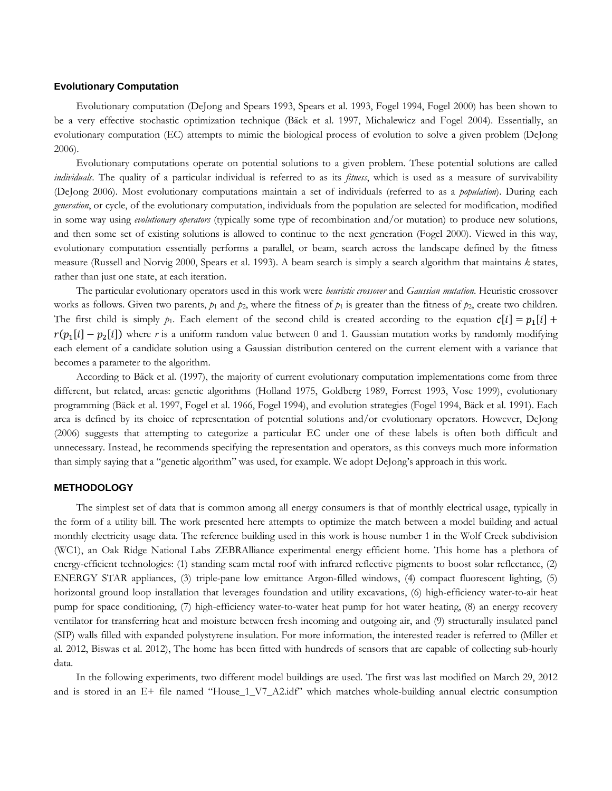## **Evolutionary Computation**

Evolutionary computation (DeJong and Spears 1993, Spears et al. 1993, Fogel 1994, Fogel 2000) has been shown to be a very effective stochastic optimization technique (Bäck et al. 1997, Michalewicz and Fogel 2004). Essentially, an evolutionary computation (EC) attempts to mimic the biological process of evolution to solve a given problem (DeJong 2006).

Evolutionary computations operate on potential solutions to a given problem. These potential solutions are called *individuals*. The quality of a particular individual is referred to as its *fitness*, which is used as a measure of survivability (DeJong 2006). Most evolutionary computations maintain a set of individuals (referred to as a *population*). During each *generation*, or cycle, of the evolutionary computation, individuals from the population are selected for modification, modified in some way using *evolutionary operators* (typically some type of recombination and/or mutation) to produce new solutions, and then some set of existing solutions is allowed to continue to the next generation (Fogel 2000). Viewed in this way, evolutionary computation essentially performs a parallel, or beam, search across the landscape defined by the fitness measure (Russell and Norvig 2000, Spears et al. 1993). A beam search is simply a search algorithm that maintains *k* states, rather than just one state, at each iteration.

The particular evolutionary operators used in this work were *heuristic crossover* and *Gaussian mutation*. Heuristic crossover works as follows. Given two parents,  $p_1$  and  $p_2$ , where the fitness of  $p_1$  is greater than the fitness of  $p_2$ , create two children. The first child is simply  $p_1$ . Each element of the second child is created according to the equation  $c[i] = p_1[i] + p_2[i]$  $r(p_1[i] - p_2[i])$  where *r* is a uniform random value between 0 and 1. Gaussian mutation works by randomly modifying each element of a candidate solution using a Gaussian distribution centered on the current element with a variance that becomes a parameter to the algorithm.

According to Bäck et al. (1997), the majority of current evolutionary computation implementations come from three different, but related, areas: genetic algorithms (Holland 1975, Goldberg 1989, Forrest 1993, Vose 1999), evolutionary programming (Bäck et al. 1997, Fogel et al. 1966, Fogel 1994), and evolution strategies (Fogel 1994, Bäck et al. 1991). Each area is defined by its choice of representation of potential solutions and/or evolutionary operators. However, DeJong (2006) suggests that attempting to categorize a particular EC under one of these labels is often both difficult and unnecessary. Instead, he recommends specifying the representation and operators, as this conveys much more information than simply saying that a "genetic algorithm" was used, for example. We adopt DeJong's approach in this work.

# **METHODOLOGY**

The simplest set of data that is common among all energy consumers is that of monthly electrical usage, typically in the form of a utility bill. The work presented here attempts to optimize the match between a model building and actual monthly electricity usage data. The reference building used in this work is house number 1 in the Wolf Creek subdivision (WC1), an Oak Ridge National Labs ZEBRAlliance experimental energy efficient home. This home has a plethora of energy-efficient technologies: (1) standing seam metal roof with infrared reflective pigments to boost solar reflectance, (2) ENERGY STAR appliances, (3) triple-pane low emittance Argon-filled windows, (4) compact fluorescent lighting, (5) horizontal ground loop installation that leverages foundation and utility excavations, (6) high-efficiency water-to-air heat pump for space conditioning, (7) high-efficiency water-to-water heat pump for hot water heating, (8) an energy recovery ventilator for transferring heat and moisture between fresh incoming and outgoing air, and (9) structurally insulated panel (SIP) walls filled with expanded polystyrene insulation. For more information, the interested reader is referred to (Miller et al. 2012, Biswas et al. 2012), The home has been fitted with hundreds of sensors that are capable of collecting sub-hourly data.

In the following experiments, two different model buildings are used. The first was last modified on March 29, 2012 and is stored in an E+ file named "House\_1\_V7\_A2.idf" which matches whole-building annual electric consumption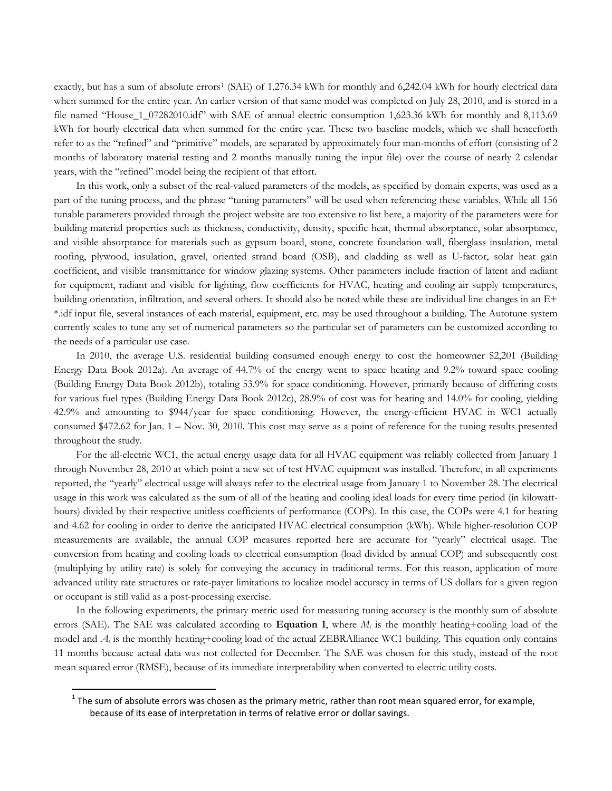exactly, but has a sum of absolute errors<sup>[1](#page-4-0)</sup> (SAE) of 1,276.34 kWh for monthly and 6,242.04 kWh for hourly electrical data when summed for the entire year. An earlier version of that same model was completed on July 28, 2010, and is stored in a file named "House\_1\_07282010.idf" with SAE of annual electric consumption 1,623.36 kWh for monthly and 8,113.69 kWh for hourly electrical data when summed for the entire year. These two baseline models, which we shall henceforth refer to as the "refined" and "primitive" models, are separated by approximately four man-months of effort (consisting of 2 months of laboratory material testing and 2 months manually tuning the input file) over the course of nearly 2 calendar years, with the "refined" model being the recipient of that effort.

In this work, only a subset of the real-valued parameters of the models, as specified by domain experts, was used as a part of the tuning process, and the phrase "tuning parameters" will be used when referencing these variables. While all 156 tunable parameters provided through the project website are too extensive to list here, a majority of the parameters were for building material properties such as thickness, conductivity, density, specific heat, thermal absorptance, solar absorptance, and visible absorptance for materials such as gypsum board, stone, concrete foundation wall, fiberglass insulation, metal roofing, plywood, insulation, gravel, oriented strand board (OSB), and cladding as well as U-factor, solar heat gain coefficient, and visible transmittance for window glazing systems. Other parameters include fraction of latent and radiant for equipment, radiant and visible for lighting, flow coefficients for HVAC, heating and cooling air supply temperatures, building orientation, infiltration, and several others. It should also be noted while these are individual line changes in an E+ \*.idf input file, several instances of each material, equipment, etc. may be used throughout a building. The Autotune system currently scales to tune any set of numerical parameters so the particular set of parameters can be customized according to the needs of a particular use case.

In 2010, the average U.S. residential building consumed enough energy to cost the homeowner \$2,201 (Building Energy Data Book 2012a). An average of 44.7% of the energy went to space heating and 9.2% toward space cooling (Building Energy Data Book 2012b), totaling 53.9% for space conditioning. However, primarily because of differing costs for various fuel types (Building Energy Data Book 2012c), 28.9% of cost was for heating and 14.0% for cooling, yielding 42.9% and amounting to \$944/year for space conditioning. However, the energy-efficient HVAC in WC1 actually consumed \$472.62 for Jan. 1 – Nov. 30, 2010. This cost may serve as a point of reference for the tuning results presented throughout the study.

For the all-electric WC1, the actual energy usage data for all HVAC equipment was reliably collected from January 1 through November 28, 2010 at which point a new set of test HVAC equipment was installed. Therefore, in all experiments reported, the "yearly" electrical usage will always refer to the electrical usage from January 1 to November 28. The electrical usage in this work was calculated as the sum of all of the heating and cooling ideal loads for every time period (in kilowatthours) divided by their respective unitless coefficients of performance (COPs). In this case, the COPs were 4.1 for heating and 4.62 for cooling in order to derive the anticipated HVAC electrical consumption (kWh). While higher-resolution COP measurements are available, the annual COP measures reported here are accurate for "yearly" electrical usage. The conversion from heating and cooling loads to electrical consumption (load divided by annual COP) and subsequently cost (multiplying by utility rate) is solely for conveying the accuracy in traditional terms. For this reason, application of more advanced utility rate structures or rate-payer limitations to localize model accuracy in terms of US dollars for a given region or occupant is still valid as a post-processing exercise.

In the following experiments, the primary metric used for measuring tuning accuracy is the monthly sum of absolute errors (SAE). The SAE was calculated according to **Equation 1**, where  $M_i$  is the monthly heating+cooling load of the model and  $A_i$  is the monthly heating+cooling load of the actual ZEBRAlliance WC1 building. This equation only contains 11 months because actual data was not collected for December. The SAE was chosen for this study, instead of the root mean squared error (RMSE), because of its immediate interpretability when converted to electric utility costs.

<span id="page-4-0"></span> $1$  The sum of absolute errors was chosen as the primary metric, rather than root mean squared error, for example, because of its ease of interpretation in terms of relative error or dollar savings.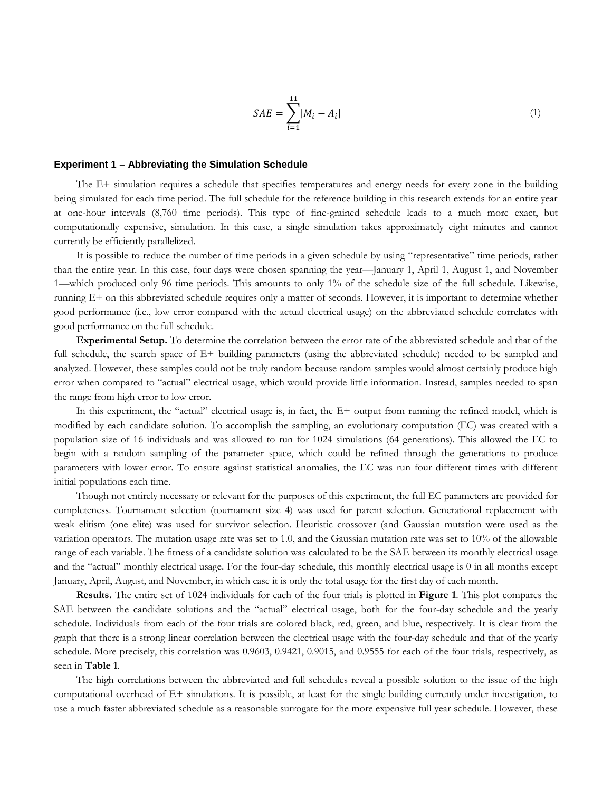$$
SAE = \sum_{i=1}^{11} |M_i - A_i|
$$
 (1)

## **Experiment 1 – Abbreviating the Simulation Schedule**

The E+ simulation requires a schedule that specifies temperatures and energy needs for every zone in the building being simulated for each time period. The full schedule for the reference building in this research extends for an entire year at one-hour intervals (8,760 time periods). This type of fine-grained schedule leads to a much more exact, but computationally expensive, simulation. In this case, a single simulation takes approximately eight minutes and cannot currently be efficiently parallelized.

It is possible to reduce the number of time periods in a given schedule by using "representative" time periods, rather than the entire year. In this case, four days were chosen spanning the year—January 1, April 1, August 1, and November 1—which produced only 96 time periods. This amounts to only 1% of the schedule size of the full schedule. Likewise, running E+ on this abbreviated schedule requires only a matter of seconds. However, it is important to determine whether good performance (i.e., low error compared with the actual electrical usage) on the abbreviated schedule correlates with good performance on the full schedule.

**Experimental Setup.** To determine the correlation between the error rate of the abbreviated schedule and that of the full schedule, the search space of E+ building parameters (using the abbreviated schedule) needed to be sampled and analyzed. However, these samples could not be truly random because random samples would almost certainly produce high error when compared to "actual" electrical usage, which would provide little information. Instead, samples needed to span the range from high error to low error.

In this experiment, the "actual" electrical usage is, in fact, the E+ output from running the refined model, which is modified by each candidate solution. To accomplish the sampling, an evolutionary computation (EC) was created with a population size of 16 individuals and was allowed to run for 1024 simulations (64 generations). This allowed the EC to begin with a random sampling of the parameter space, which could be refined through the generations to produce parameters with lower error. To ensure against statistical anomalies, the EC was run four different times with different initial populations each time.

Though not entirely necessary or relevant for the purposes of this experiment, the full EC parameters are provided for completeness. Tournament selection (tournament size 4) was used for parent selection. Generational replacement with weak elitism (one elite) was used for survivor selection. Heuristic crossover (and Gaussian mutation were used as the variation operators. The mutation usage rate was set to 1.0, and the Gaussian mutation rate was set to 10% of the allowable range of each variable. The fitness of a candidate solution was calculated to be the SAE between its monthly electrical usage and the "actual" monthly electrical usage. For the four-day schedule, this monthly electrical usage is 0 in all months except January, April, August, and November, in which case it is only the total usage for the first day of each month.

**Results.** The entire set of 1024 individuals for each of the four trials is plotted in **[Figure 1](#page-6-0)**. This plot compares the SAE between the candidate solutions and the "actual" electrical usage, both for the four-day schedule and the yearly schedule. Individuals from each of the four trials are colored black, red, green, and blue, respectively. It is clear from the graph that there is a strong linear correlation between the electrical usage with the four-day schedule and that of the yearly schedule. More precisely, this correlation was 0.9603, 0.9421, 0.9015, and 0.9555 for each of the four trials, respectively, as seen in **[Table 1](#page-6-1)**.

The high correlations between the abbreviated and full schedules reveal a possible solution to the issue of the high computational overhead of E+ simulations. It is possible, at least for the single building currently under investigation, to use a much faster abbreviated schedule as a reasonable surrogate for the more expensive full year schedule. However, these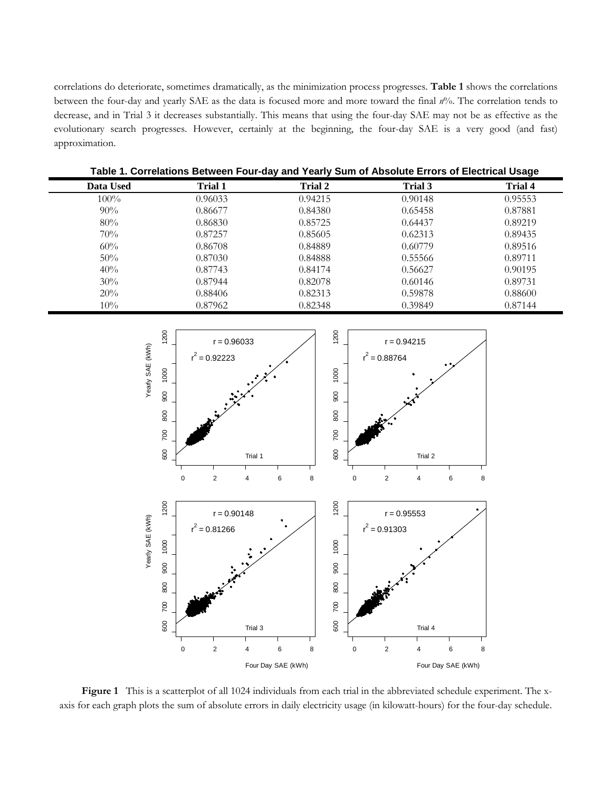correlations do deteriorate, sometimes dramatically, as the minimization process progresses. **[Table 1](#page-6-1)** shows the correlations between the four-day and yearly SAE as the data is focused more and more toward the final *n*%. The correlation tends to decrease, and in Trial 3 it decreases substantially. This means that using the four-day SAE may not be as effective as the evolutionary search progresses. However, certainly at the beginning, the four-day SAE is a very good (and fast) approximation.

<span id="page-6-1"></span>

| Table 1. Correlations Between Four-day and Yearly Sum of Absolute Errors of Electrical Usage |                |                |         |                |
|----------------------------------------------------------------------------------------------|----------------|----------------|---------|----------------|
| Data Used                                                                                    | <b>Trial 1</b> | <b>Trial 2</b> | Trial 3 | <b>Trial 4</b> |
| $100\%$                                                                                      | 0.96033        | 0.94215        | 0.90148 | 0.95553        |
| $90\%$                                                                                       | 0.86677        | 0.84380        | 0.65458 | 0.87881        |
| 80%                                                                                          | 0.86830        | 0.85725        | 0.64437 | 0.89219        |
| 70%                                                                                          | 0.87257        | 0.85605        | 0.62313 | 0.89435        |
| 60%                                                                                          | 0.86708        | 0.84889        | 0.60779 | 0.89516        |
| 50%                                                                                          | 0.87030        | 0.84888        | 0.55566 | 0.89711        |
| 40%                                                                                          | 0.87743        | 0.84174        | 0.56627 | 0.90195        |
| 30%                                                                                          | 0.87944        | 0.82078        | 0.60146 | 0.89731        |
| 20%                                                                                          | 0.88406        | 0.82313        | 0.59878 | 0.88600        |
| 10%                                                                                          | 0.87962        | 0.82348        | 0.39849 | 0.87144        |

1200 1200 600 700 800 900 1000 1200 600 700 800 900 1000 1200  $r = 0.96033$  $r = 0.94215$ Yearly SAE (kWh) Yearly SAE (kWh)  $r^2 = 0.92223$  $r^2 = 0.88764$ 1000 1000 900 900 800 800 700 700 600 600 Trial 1 Trial 2 0 2 4 6 8 0 2 4 6 8 1200 1200 600 700 800 900 1000 1200 600 700 800 900 1000 1200  $r = 0.90148$  $r = 0.95553$ Yearly SAE (kWh) Yearly SAE (kWh) 2  $= 0.81266$  $r^2$  = 0.91303 r 1000 1000 900 900 800 800 700 700 600 600 Trial 3 Trial 4 0 2 4 6 8 0 2 4 6 8 Four Day SAE (kWh) Four Day SAE (kWh)

<span id="page-6-0"></span>**Figure 1** This is a scatterplot of all 1024 individuals from each trial in the abbreviated schedule experiment. The xaxis for each graph plots the sum of absolute errors in daily electricity usage (in kilowatt-hours) for the four-day schedule.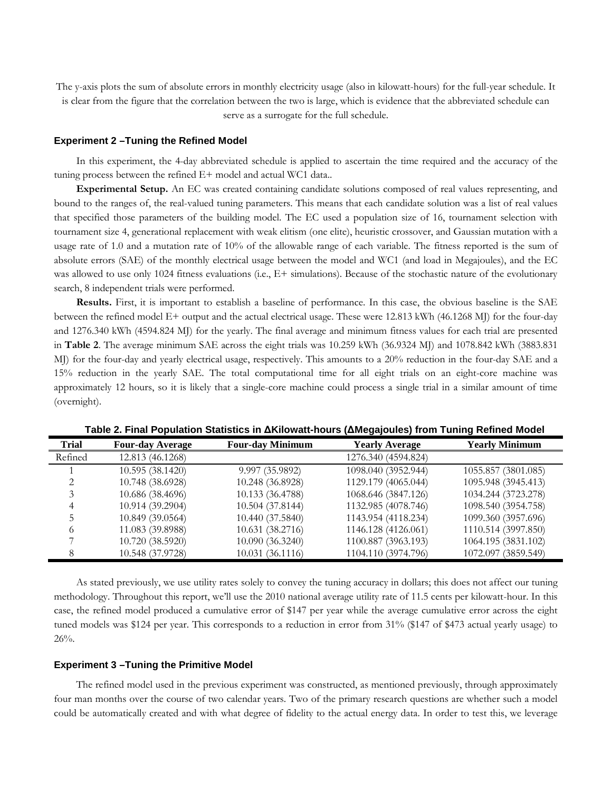The y-axis plots the sum of absolute errors in monthly electricity usage (also in kilowatt-hours) for the full-year schedule. It is clear from the figure that the correlation between the two is large, which is evidence that the abbreviated schedule can serve as a surrogate for the full schedule.

#### **Experiment 2 –Tuning the Refined Model**

In this experiment, the 4-day abbreviated schedule is applied to ascertain the time required and the accuracy of the tuning process between the refined E+ model and actual WC1 data..

**Experimental Setup.** An EC was created containing candidate solutions composed of real values representing, and bound to the ranges of, the real-valued tuning parameters. This means that each candidate solution was a list of real values that specified those parameters of the building model. The EC used a population size of 16, tournament selection with tournament size 4, generational replacement with weak elitism (one elite), heuristic crossover, and Gaussian mutation with a usage rate of 1.0 and a mutation rate of 10% of the allowable range of each variable. The fitness reported is the sum of absolute errors (SAE) of the monthly electrical usage between the model and WC1 (and load in Megajoules), and the EC was allowed to use only 1024 fitness evaluations (i.e., E+ simulations). Because of the stochastic nature of the evolutionary search, 8 independent trials were performed.

**Results.** First, it is important to establish a baseline of performance. In this case, the obvious baseline is the SAE between the refined model E+ output and the actual electrical usage. These were 12.813 kWh (46.1268 MJ) for the four-day and 1276.340 kWh (4594.824 MJ) for the yearly. The final average and minimum fitness values for each trial are presented in **[Table 2](#page-7-0)**. The average minimum SAE across the eight trials was 10.259 kWh (36.9324 MJ) and 1078.842 kWh (3883.831 MJ) for the four-day and yearly electrical usage, respectively. This amounts to a 20% reduction in the four-day SAE and a 15% reduction in the yearly SAE. The total computational time for all eight trials on an eight-core machine was approximately 12 hours, so it is likely that a single-core machine could process a single trial in a similar amount of time (overnight).

<span id="page-7-0"></span>

| <b>Trial</b> | <b>Four-day Average</b> | <b>Four-day Minimum</b> | <b>Yearly Average</b> | <b>Yearly Minimum</b> |
|--------------|-------------------------|-------------------------|-----------------------|-----------------------|
| Refined      | 12.813 (46.1268)        |                         | 1276.340 (4594.824)   |                       |
|              | 10.595 (38.1420)        | 9.997 (35.9892)         | 1098.040 (3952.944)   | 1055.857 (3801.085)   |
|              | 10.748 (38.6928)        | 10.248 (36.8928)        | 1129.179 (4065.044)   | 1095.948 (3945.413)   |
|              | 10.686 (38.4696)        | 10.133 (36.4788)        | 1068.646 (3847.126)   | 1034.244 (3723.278)   |
|              | 10.914 (39.2904)        | 10.504 (37.8144)        | 1132.985 (4078.746)   | 1098.540 (3954.758)   |
|              | 10.849 (39.0564)        | 10.440 (37.5840)        | 1143.954 (4118.234)   | 1099.360 (3957.696)   |
|              | 11.083 (39.8988)        | 10.631 (38.2716)        | 1146.128 (4126.061)   | 1110.514 (3997.850)   |
|              | 10.720 (38.5920)        | 10.090 (36.3240)        | 1100.887 (3963.193)   | 1064.195 (3831.102)   |
|              | 10.548 (37.9728)        | 10.031 (36.1116)        | 1104.110 (3974.796)   | 1072.097 (3859.549)   |

**Table 2. Final Population Statistics in ΔKilowatt-hours (ΔMegajoules) from Tuning Refined Model**

As stated previously, we use utility rates solely to convey the tuning accuracy in dollars; this does not affect our tuning methodology. Throughout this report, we'll use the 2010 national average utility rate of 11.5 cents per kilowatt-hour. In this case, the refined model produced a cumulative error of \$147 per year while the average cumulative error across the eight tuned models was \$124 per year. This corresponds to a reduction in error from 31% (\$147 of \$473 actual yearly usage) to 26%.

## **Experiment 3 –Tuning the Primitive Model**

The refined model used in the previous experiment was constructed, as mentioned previously, through approximately four man months over the course of two calendar years. Two of the primary research questions are whether such a model could be automatically created and with what degree of fidelity to the actual energy data. In order to test this, we leverage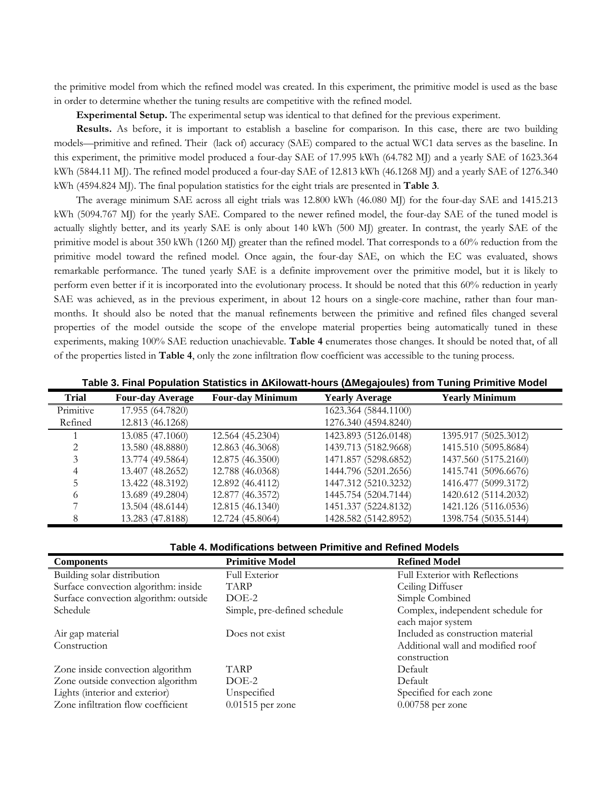the primitive model from which the refined model was created. In this experiment, the primitive model is used as the base in order to determine whether the tuning results are competitive with the refined model.

**Experimental Setup.** The experimental setup was identical to that defined for the previous experiment.

**Results.** As before, it is important to establish a baseline for comparison. In this case, there are two building models—primitive and refined. Their (lack of) accuracy (SAE) compared to the actual WC1 data serves as the baseline. In this experiment, the primitive model produced a four-day SAE of 17.995 kWh (64.782 MJ) and a yearly SAE of 1623.364 kWh (5844.11 MJ). The refined model produced a four-day SAE of 12.813 kWh (46.1268 MJ) and a yearly SAE of 1276.340 kWh (4594.824 MJ). The final population statistics for the eight trials are presented in **[Table 3](#page-8-0)**.

The average minimum SAE across all eight trials was 12.800 kWh (46.080 MJ) for the four-day SAE and 1415.213 kWh (5094.767 MJ) for the yearly SAE. Compared to the newer refined model, the four-day SAE of the tuned model is actually slightly better, and its yearly SAE is only about 140 kWh (500 MJ) greater. In contrast, the yearly SAE of the primitive model is about 350 kWh (1260 MJ) greater than the refined model. That corresponds to a 60% reduction from the primitive model toward the refined model. Once again, the four-day SAE, on which the EC was evaluated, shows remarkable performance. The tuned yearly SAE is a definite improvement over the primitive model, but it is likely to perform even better if it is incorporated into the evolutionary process. It should be noted that this 60% reduction in yearly SAE was achieved, as in the previous experiment, in about 12 hours on a single-core machine, rather than four manmonths. It should also be noted that the manual refinements between the primitive and refined files changed several properties of the model outside the scope of the envelope material properties being automatically tuned in these experiments, making 100% SAE reduction unachievable. **[Table 4](#page-8-1)** enumerates those changes. It should be noted that, of all of the properties listed in **[Table 4](#page-8-1)**, only the zone infiltration flow coefficient was accessible to the tuning process.

<span id="page-8-0"></span>

| <b>Trial</b> | <b>Four-day Average</b> | <b>Four-day Minimum</b> | <b>Yearly Average</b> | <b>Yearly Minimum</b> |
|--------------|-------------------------|-------------------------|-----------------------|-----------------------|
| Primitive    | 17.955 (64.7820)        |                         | 1623.364 (5844.1100)  |                       |
| Refined      | 12.813 (46.1268)        |                         | 1276.340 (4594.8240)  |                       |
|              | 13.085 (47.1060)        | 12.564 (45.2304)        | 1423.893 (5126.0148)  | 1395.917 (5025.3012)  |
|              | 13.580 (48.8880)        | 12.863 (46.3068)        | 1439.713 (5182.9668)  | 1415.510 (5095.8684)  |
|              | 13.774 (49.5864)        | 12.875 (46.3500)        | 1471.857 (5298.6852)  | 1437.560 (5175.2160)  |
|              | 13.407 (48.2652)        | 12.788 (46.0368)        | 1444.796 (5201.2656)  | 1415.741 (5096.6676)  |
|              | 13.422 (48.3192)        | 12.892 (46.4112)        | 1447.312 (5210.3232)  | 1416.477 (5099.3172)  |
| 6            | 13.689 (49.2804)        | 12.877 (46.3572)        | 1445.754 (5204.7144)  | 1420.612 (5114.2032)  |
|              | 13.504 (48.6144)        | 12.815 (46.1340)        | 1451.337 (5224.8132)  | 1421.126 (5116.0536)  |
|              | 13.283 (47.8188)        | 12.724 (45.8064)        | 1428.582 (5142.8952)  | 1398.754 (5035.5144)  |

**Table 3. Final Population Statistics in ΔKilowatt-hours (ΔMegajoules) from Tuning Primitive Model**

| Table 4. Modifications between Primitive and Refined Models |  |
|-------------------------------------------------------------|--|
|-------------------------------------------------------------|--|

<span id="page-8-1"></span>

| <b>Components</b>                     | <b>Primitive Model</b>       | <b>Refined Model</b>                                   |
|---------------------------------------|------------------------------|--------------------------------------------------------|
| Building solar distribution           | <b>Full Exterior</b>         | Full Exterior with Reflections                         |
| Surface convection algorithm: inside  | <b>TARP</b>                  | Ceiling Diffuser                                       |
| Surface convection algorithm: outside | $DOE-2$                      | Simple Combined                                        |
| Schedule                              | Simple, pre-defined schedule | Complex, independent schedule for<br>each major system |
| Air gap material                      | Does not exist               | Included as construction material                      |
| Construction                          |                              | Additional wall and modified roof<br>construction      |
| Zone inside convection algorithm      | <b>TARP</b>                  | Default                                                |
| Zone outside convection algorithm     | $DOE-2$                      | Default                                                |
| Lights (interior and exterior)        | Unspecified                  | Specified for each zone                                |
| Zone infiltration flow coefficient    | $0.01515$ per zone           | $0.00758$ per zone                                     |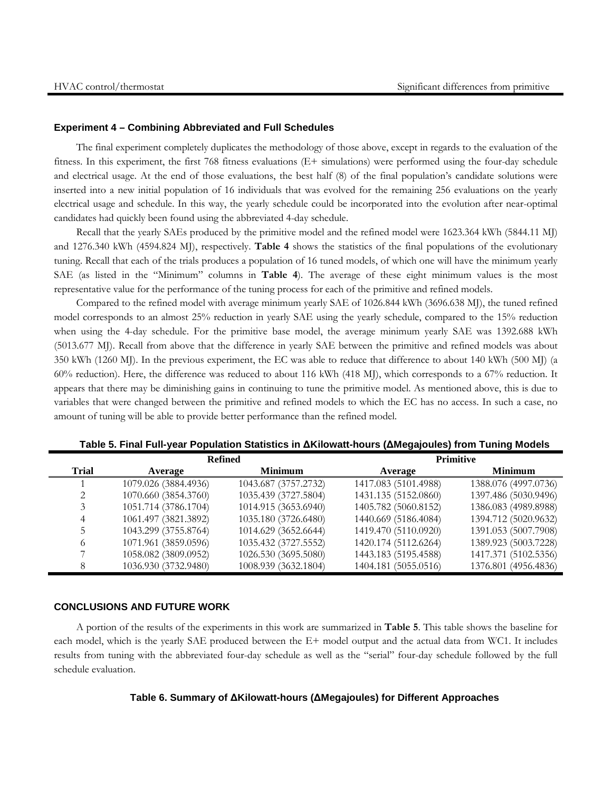#### **Experiment 4 – Combining Abbreviated and Full Schedules**

The final experiment completely duplicates the methodology of those above, except in regards to the evaluation of the fitness. In this experiment, the first 768 fitness evaluations (E+ simulations) were performed using the four-day schedule and electrical usage. At the end of those evaluations, the best half (8) of the final population's candidate solutions were inserted into a new initial population of 16 individuals that was evolved for the remaining 256 evaluations on the yearly electrical usage and schedule. In this way, the yearly schedule could be incorporated into the evolution after near-optimal candidates had quickly been found using the abbreviated 4-day schedule.

Recall that the yearly SAEs produced by the primitive model and the refined model were 1623.364 kWh (5844.11 MJ) and 1276.340 kWh (4594.824 MJ), respectively. **[Table 4](#page-9-0)** shows the statistics of the final populations of the evolutionary tuning. Recall that each of the trials produces a population of 16 tuned models, of which one will have the minimum yearly SAE (as listed in the "Minimum" columns in **[Table 4](#page-9-0)**). The average of these eight minimum values is the most representative value for the performance of the tuning process for each of the primitive and refined models.

Compared to the refined model with average minimum yearly SAE of 1026.844 kWh (3696.638 MJ), the tuned refined model corresponds to an almost 25% reduction in yearly SAE using the yearly schedule, compared to the 15% reduction when using the 4-day schedule. For the primitive base model, the average minimum yearly SAE was 1392.688 kWh (5013.677 MJ). Recall from above that the difference in yearly SAE between the primitive and refined models was about 350 kWh (1260 MJ). In the previous experiment, the EC was able to reduce that difference to about 140 kWh (500 MJ) (a 60% reduction). Here, the difference was reduced to about 116 kWh (418 MJ), which corresponds to a 67% reduction. It appears that there may be diminishing gains in continuing to tune the primitive model. As mentioned above, this is due to variables that were changed between the primitive and refined models to which the EC has no access. In such a case, no amount of tuning will be able to provide better performance than the refined model.

<span id="page-9-0"></span>

|                       | <b>Refined</b>       |                      | <b>Primitive</b>     |                      |  |
|-----------------------|----------------------|----------------------|----------------------|----------------------|--|
| <b>Trial</b>          | Average              | <b>Minimum</b>       | Average              | <b>Minimum</b>       |  |
|                       | 1079.026 (3884.4936) | 1043.687 (3757.2732) | 1417.083 (5101.4988) | 1388.076 (4997.0736) |  |
| $\mathcal{D}_{\cdot}$ | 1070.660 (3854.3760) | 1035.439 (3727.5804) | 1431.135 (5152.0860) | 1397.486 (5030.9496) |  |
|                       | 1051.714 (3786.1704) | 1014.915 (3653.6940) | 1405.782 (5060.8152) | 1386.083 (4989.8988) |  |
| 4                     | 1061.497 (3821.3892) | 1035.180 (3726.6480) | 1440.669 (5186.4084) | 1394.712 (5020.9632) |  |
|                       | 1043.299 (3755.8764) | 1014.629 (3652.6644) | 1419.470 (5110.0920) | 1391.053 (5007.7908) |  |
| 6                     | 1071.961 (3859.0596) | 1035.432 (3727.5552) | 1420.174 (5112.6264) | 1389.923 (5003.7228) |  |
|                       | 1058.082 (3809.0952) | 1026.530 (3695.5080) | 1443.183 (5195.4588) | 1417.371 (5102.5356) |  |
| 8                     | 1036.930 (3732.9480) | 1008.939 (3632.1804) | 1404.181 (5055.0516) | 1376.801 (4956.4836) |  |

**Table 5. Final Full-year Population Statistics in ΔKilowatt-hours (ΔMegajoules) from Tuning Models**

# **CONCLUSIONS AND FUTURE WORK**

<span id="page-9-1"></span>A portion of the results of the experiments in this work are summarized in **[Table 5](#page-9-1)**. This table shows the baseline for each model, which is the yearly SAE produced between the E+ model output and the actual data from WC1. It includes results from tuning with the abbreviated four-day schedule as well as the "serial" four-day schedule followed by the full schedule evaluation.

## **Table 6. Summary of ΔKilowatt-hours (ΔMegajoules) for Different Approaches**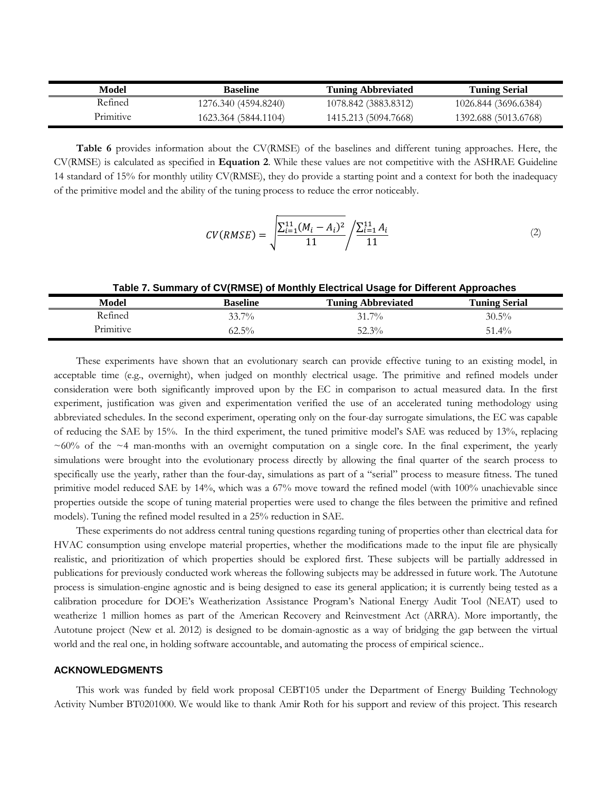| Model     | <b>Baseline</b>      | <b>Tuning Abbreviated</b> | Tuning Serial        |
|-----------|----------------------|---------------------------|----------------------|
| Refined   | 1276.340 (4594.8240) | 1078.842 (3883.8312)      | 1026.844 (3696.6384) |
| Primitive | 1623.364 (5844.1104) | 1415.213 (5094.7668)      | 1392.688 (5013.6768) |

**[Table 6](#page-10-0)** provides information about the CV(RMSE) of the baselines and different tuning approaches. Here, the CV(RMSE) is calculated as specified in **Equation 2**. While these values are not competitive with the ASHRAE Guideline 14 standard of 15% for monthly utility CV(RMSE), they do provide a starting point and a context for both the inadequacy of the primitive model and the ability of the tuning process to reduce the error noticeably.

$$
CV(RMSE) = \sqrt{\frac{\sum_{i=1}^{11} (M_i - A_i)^2}{11}} / \frac{\sum_{i=1}^{11} A_i}{11}
$$
 (2)

#### **Table 7. Summary of CV(RMSE) of Monthly Electrical Usage for Different Approaches**

<span id="page-10-0"></span>

| Model                 | Baseline | <b>Tuning Abbreviated</b> | <b>Tuning Serial</b> |  |
|-----------------------|----------|---------------------------|----------------------|--|
| Refined               | $33.7\%$ | $31.7\%$                  | $30.5\%$             |  |
| <sup>D</sup> rimitive | $62.5\%$ | $52.3\%$                  | $51.4\%$             |  |

These experiments have shown that an evolutionary search can provide effective tuning to an existing model, in acceptable time (e.g., overnight), when judged on monthly electrical usage. The primitive and refined models under consideration were both significantly improved upon by the EC in comparison to actual measured data. In the first experiment, justification was given and experimentation verified the use of an accelerated tuning methodology using abbreviated schedules. In the second experiment, operating only on the four-day surrogate simulations, the EC was capable of reducing the SAE by 15%. In the third experiment, the tuned primitive model's SAE was reduced by 13%, replacing  $\sim 60\%$  of the  $\sim 4$  man-months with an overnight computation on a single core. In the final experiment, the yearly simulations were brought into the evolutionary process directly by allowing the final quarter of the search process to specifically use the yearly, rather than the four-day, simulations as part of a "serial" process to measure fitness. The tuned primitive model reduced SAE by 14%, which was a 67% move toward the refined model (with 100% unachievable since properties outside the scope of tuning material properties were used to change the files between the primitive and refined models). Tuning the refined model resulted in a 25% reduction in SAE.

These experiments do not address central tuning questions regarding tuning of properties other than electrical data for HVAC consumption using envelope material properties, whether the modifications made to the input file are physically realistic, and prioritization of which properties should be explored first. These subjects will be partially addressed in publications for previously conducted work whereas the following subjects may be addressed in future work. The Autotune process is simulation-engine agnostic and is being designed to ease its general application; it is currently being tested as a calibration procedure for DOE's Weatherization Assistance Program's National Energy Audit Tool (NEAT) used to weatherize 1 million homes as part of the American Recovery and Reinvestment Act (ARRA). More importantly, the Autotune project (New et al. 2012) is designed to be domain-agnostic as a way of bridging the gap between the virtual world and the real one, in holding software accountable, and automating the process of empirical science..

# **ACKNOWLEDGMENTS**

This work was funded by field work proposal CEBT105 under the Department of Energy Building Technology Activity Number BT0201000. We would like to thank Amir Roth for his support and review of this project. This research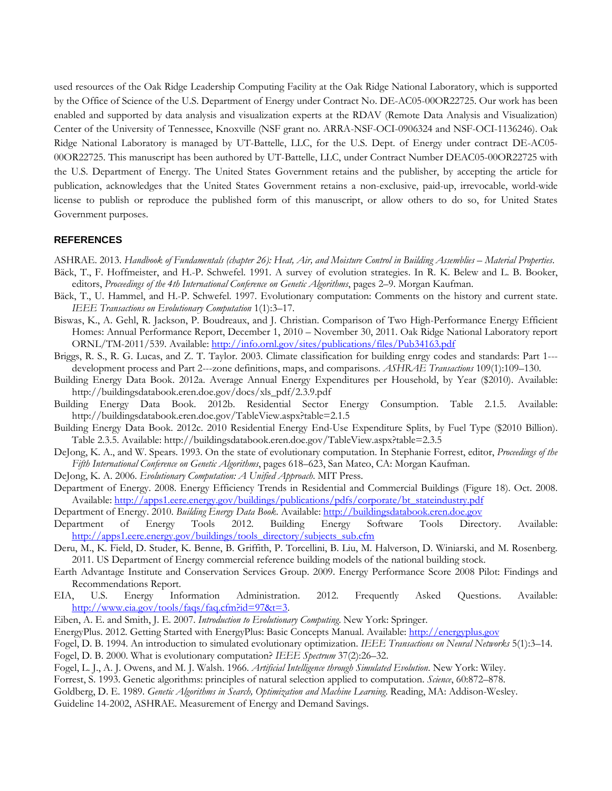used resources of the Oak Ridge Leadership Computing Facility at the Oak Ridge National Laboratory, which is supported by the Office of Science of the U.S. Department of Energy under Contract No. DE-AC05-00OR22725. Our work has been enabled and supported by data analysis and visualization experts at the RDAV (Remote Data Analysis and Visualization) Center of the University of Tennessee, Knoxville (NSF grant no. ARRA-NSF-OCI-0906324 and NSF-OCI-1136246). Oak Ridge National Laboratory is managed by UT-Battelle, LLC, for the U.S. Dept. of Energy under contract DE-AC05- 00OR22725. This manuscript has been authored by UT-Battelle, LLC, under Contract Number DEAC05-00OR22725 with the U.S. Department of Energy. The United States Government retains and the publisher, by accepting the article for publication, acknowledges that the United States Government retains a non-exclusive, paid-up, irrevocable, world-wide license to publish or reproduce the published form of this manuscript, or allow others to do so, for United States Government purposes.

## **REFERENCES**

- ASHRAE. 2013. *Handbook of Fundamentals (chapter 26): Heat, Air, and Moisture Control in Building Assemblies – Material Properties*.
- Bäck, T., F. Hoffmeister, and H.-P. Schwefel. 1991. A survey of evolution strategies. In R. K. Belew and L. B. Booker, editors, *Proceedings of the 4th International Conference on Genetic Algorithms*, pages 2–9. Morgan Kaufman.
- Bäck, T., U. Hammel, and H.-P. Schwefel. 1997. Evolutionary computation: Comments on the history and current state. *IEEE Transactions on Evolutionary Computation* 1(1):3–17.
- Biswas, K., A. Gehl, R. Jackson, P. Boudreaux, and J. Christian. Comparison of Two High-Performance Energy Efficient Homes: Annual Performance Report, December 1, 2010 – November 30, 2011. Oak Ridge National Laboratory report ORNL/TM-2011/539. Available[: http://info.ornl.gov/sites/publications/files/Pub34163.pdf](http://info.ornl.gov/sites/publications/files/Pub34163.pdf)
- Briggs, R. S., R. G. Lucas, and Z. T. Taylor. 2003. Climate classification for building enrgy codes and standards: Part 1-- development process and Part 2---zone definitions, maps, and comparisons. *ASHRAE Transactions* 109(1):109–130.
- Building Energy Data Book. 2012a. Average Annual Energy Expenditures per Household, by Year (\$2010). Available: http://buildingsdatabook.eren.doe.gov/docs/xls\_pdf/2.3.9.pdf
- Building Energy Data Book. 2012b. Residential Sector Energy Consumption. Table 2.1.5. Available: http://buildingsdatabook.eren.doe.gov/TableView.aspx?table=2.1.5
- Building Energy Data Book. 2012c. 2010 Residential Energy End-Use Expenditure Splits, by Fuel Type (\$2010 Billion). Table 2.3.5. Available: http://buildingsdatabook.eren.doe.gov/TableView.aspx?table=2.3.5
- DeJong, K. A., and W. Spears. 1993. On the state of evolutionary computation. In Stephanie Forrest, editor, *Proceedings of the Fifth International Conference on Genetic Algorithms*, pages 618–623, San Mateo, CA: Morgan Kaufman.
- DeJong, K. A. 2006. *Evolutionary Computation: A Unified Approach*. MIT Press.
- Department of Energy. 2008. Energy Efficiency Trends in Residential and Commercial Buildings (Figure 18). Oct. 2008. Available[: http://apps1.eere.energy.gov/buildings/publications/pdfs/corporate/bt\\_stateindustry.pdf](http://apps1.eere.energy.gov/buildings/publications/pdfs/corporate/bt_stateindustry.pdf)
- Department of Energy. 2010. *Building Energy Data Book*. Available[: http://buildingsdatabook.eren.doe.gov](http://buildingsdatabook.eren.doe.gov/)
- Department of Energy Tools 2012. Building Energy Software Tools Directory. Available: [http://apps1.eere.energy.gov/buildings/tools\\_directory/subjects\\_sub.cfm](http://apps1.eere.energy.gov/buildings/tools_directory/subjects_sub.cfm)
- Deru, M., K. Field, D. Studer, K. Benne, B. Griffith, P. Torcellini, B. Liu, M. Halverson, D. Winiarski, and M. Rosenberg. 2011. US Department of Energy commercial reference building models of the national building stock.
- Earth Advantage Institute and Conservation Services Group. 2009. Energy Performance Score 2008 Pilot: Findings and Recommendations Report.
- EIA, U.S. Energy Information Administration. 2012. Frequently Asked Questions. Available: [http://www.eia.gov/tools/faqs/faq.cfm?id=97&t=3.](http://www.eia.gov/tools/faqs/faq.cfm?id=97&t=3)
- Eiben, A. E. and Smith, J. E. 2007. *Introduction to Evolutionary Computing*. New York: Springer.
- EnergyPlus. 2012. Getting Started with EnergyPlus: Basic Concepts Manual. Available: [http://energyplus.gov](http://energyplus.gov/)
- Fogel, D. B. 1994. An introduction to simulated evolutionary optimization. *IEEE Transactions on Neural Networks* 5(1):3–14.
- Fogel, D. B. 2000. What is evolutionary computation? *IEEE Spectrum* 37(2):26–32.
- Fogel, L. J., A. J. Owens, and M. J. Walsh. 1966. *Artificial Intelligence through Simulated Evolution*. New York: Wiley.
- Forrest, S. 1993. Genetic algorithms: principles of natural selection applied to computation. *Science*, 60:872–878.
- Goldberg, D. E. 1989. *Genetic Algorithms in Search, Optimization and Machine Learning*. Reading, MA: Addison-Wesley.

Guideline 14-2002, ASHRAE. Measurement of Energy and Demand Savings.